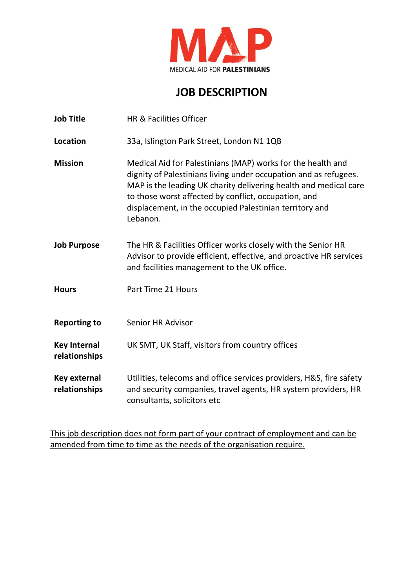

# **JOB DESCRIPTION**

| <b>Job Title</b>                     | HR & Facilities Officer                                                                                                                                                                                                                                                                                                            |
|--------------------------------------|------------------------------------------------------------------------------------------------------------------------------------------------------------------------------------------------------------------------------------------------------------------------------------------------------------------------------------|
| Location                             | 33a, Islington Park Street, London N1 1QB                                                                                                                                                                                                                                                                                          |
| <b>Mission</b>                       | Medical Aid for Palestinians (MAP) works for the health and<br>dignity of Palestinians living under occupation and as refugees.<br>MAP is the leading UK charity delivering health and medical care<br>to those worst affected by conflict, occupation, and<br>displacement, in the occupied Palestinian territory and<br>Lebanon. |
| <b>Job Purpose</b>                   | The HR & Facilities Officer works closely with the Senior HR<br>Advisor to provide efficient, effective, and proactive HR services<br>and facilities management to the UK office.                                                                                                                                                  |
| <b>Hours</b>                         | Part Time 21 Hours                                                                                                                                                                                                                                                                                                                 |
| <b>Reporting to</b>                  | <b>Senior HR Advisor</b>                                                                                                                                                                                                                                                                                                           |
| <b>Key Internal</b><br>relationships | UK SMT, UK Staff, visitors from country offices                                                                                                                                                                                                                                                                                    |
| Key external<br>relationships        | Utilities, telecoms and office services providers, H&S, fire safety<br>and security companies, travel agents, HR system providers, HR<br>consultants, solicitors etc                                                                                                                                                               |

This job description does not form part of your contract of employment and can be amended from time to time as the needs of the organisation require.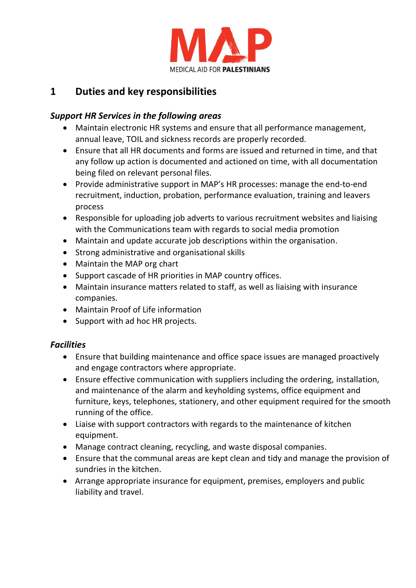

## **1 Duties and key responsibilities**

#### *Support HR Services in the following areas*

- Maintain electronic HR systems and ensure that all performance management, annual leave, TOIL and sickness records are properly recorded.
- Ensure that all HR documents and forms are issued and returned in time, and that any follow up action is documented and actioned on time, with all documentation being filed on relevant personal files.
- Provide administrative support in MAP's HR processes: manage the end-to-end recruitment, induction, probation, performance evaluation, training and leavers process
- Responsible for uploading job adverts to various recruitment websites and liaising with the Communications team with regards to social media promotion
- Maintain and update accurate job descriptions within the organisation.
- Strong administrative and organisational skills
- Maintain the MAP org chart
- Support cascade of HR priorities in MAP country offices.
- Maintain insurance matters related to staff, as well as liaising with insurance companies.
- Maintain Proof of Life information
- Support with ad hoc HR projects.

#### *Facilities*

- Ensure that building maintenance and office space issues are managed proactively and engage contractors where appropriate.
- Ensure effective communication with suppliers including the ordering, installation, and maintenance of the alarm and keyholding systems, office equipment and furniture, keys, telephones, stationery, and other equipment required for the smooth running of the office.
- Liaise with support contractors with regards to the maintenance of kitchen equipment.
- Manage contract cleaning, recycling, and waste disposal companies.
- Ensure that the communal areas are kept clean and tidy and manage the provision of sundries in the kitchen.
- Arrange appropriate insurance for equipment, premises, employers and public liability and travel.